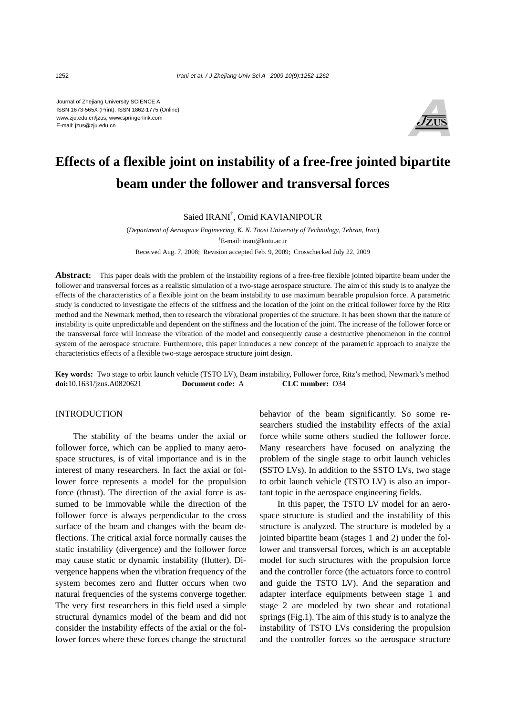Journal of Zhejiang University SCIENCE A ISSN 1673-565X (Print); ISSN 1862-1775 (Online) www.zju.edu.cn/jzus; www.springerlink.com E-mail: jzus@zju.edu.cn



# **Effects of a flexible joint on instability of a free-free jointed bipartite beam under the follower and transversal forces**

# Saied IRANI† , Omid KAVIANIPOUR

(*Department of Aerospace Engineering, K. N. Toosi University of Technology, Tehran, Iran*) † E-mail: irani@kntu.ac.ir Received Aug. 7, 2008; Revision accepted Feb. 9, 2009; Crosschecked July 22, 2009

**Abstract:** This paper deals with the problem of the instability regions of a free-free flexible jointed bipartite beam under the follower and transversal forces as a realistic simulation of a two-stage aerospace structure. The aim of this study is to analyze the effects of the characteristics of a flexible joint on the beam instability to use maximum bearable propulsion force. A parametric study is conducted to investigate the effects of the stiffness and the location of the joint on the critical follower force by the Ritz method and the Newmark method, then to research the vibrational properties of the structure. It has been shown that the nature of instability is quite unpredictable and dependent on the stiffness and the location of the joint. The increase of the follower force or the transversal force will increase the vibration of the model and consequently cause a destructive phenomenon in the control system of the aerospace structure. Furthermore, this paper introduces a new concept of the parametric approach to analyze the characteristics effects of a flexible two-stage aerospace structure joint design.

**Key words:** Two stage to orbit launch vehicle (TSTO LV), Beam instability, Follower force, Ritz's method, Newmark's method **doi:**10.1631/jzus.A0820621 **Document code:** A **CLC number:** O34

## INTRODUCTION

The stability of the beams under the axial or follower force, which can be applied to many aerospace structures, is of vital importance and is in the interest of many researchers. In fact the axial or follower force represents a model for the propulsion force (thrust). The direction of the axial force is assumed to be immovable while the direction of the follower force is always perpendicular to the cross surface of the beam and changes with the beam deflections. The critical axial force normally causes the static instability (divergence) and the follower force may cause static or dynamic instability (flutter). Divergence happens when the vibration frequency of the system becomes zero and flutter occurs when two natural frequencies of the systems converge together. The very first researchers in this field used a simple structural dynamics model of the beam and did not consider the instability effects of the axial or the follower forces where these forces change the structural behavior of the beam significantly. So some researchers studied the instability effects of the axial force while some others studied the follower force. Many researchers have focused on analyzing the problem of the single stage to orbit launch vehicles (SSTO LVs). In addition to the SSTO LVs, two stage to orbit launch vehicle (TSTO LV) is also an important topic in the aerospace engineering fields.

In this paper, the TSTO LV model for an aerospace structure is studied and the instability of this structure is analyzed. The structure is modeled by a jointed bipartite beam (stages 1 and 2) under the follower and transversal forces, which is an acceptable model for such structures with the propulsion force and the controller force (the actuators force to control and guide the TSTO LV). And the separation and adapter interface equipments between stage 1 and stage 2 are modeled by two shear and rotational springs (Fig.1). The aim of this study is to analyze the instability of TSTO LVs considering the propulsion and the controller forces so the aerospace structure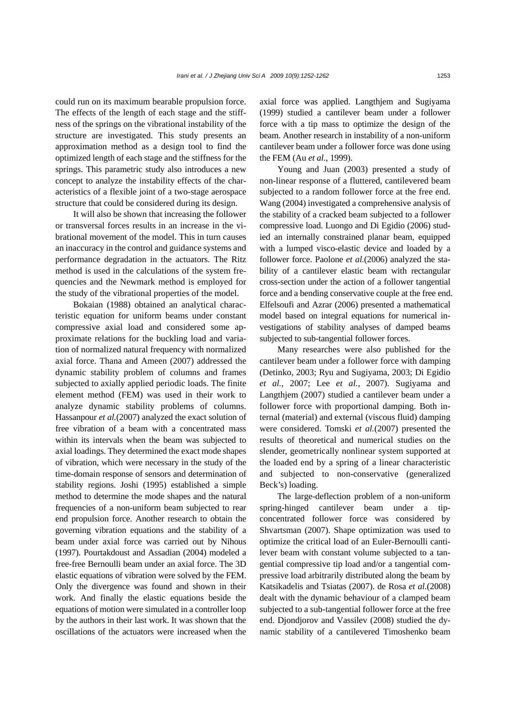could run on its maximum bearable propulsion force. The effects of the length of each stage and the stiffness of the springs on the vibrational instability of the structure are investigated. This study presents an approximation method as a design tool to find the optimized length of each stage and the stiffness for the springs. This parametric study also introduces a new concept to analyze the instability effects of the characteristics of a flexible joint of a two-stage aerospace structure that could be considered during its design.

It will also be shown that increasing the follower or transversal forces results in an increase in the vibrational movement of the model. This in turn causes an inaccuracy in the control and guidance systems and performance degradation in the actuators. The Ritz method is used in the calculations of the system frequencies and the Newmark method is employed for the study of the vibrational properties of the model.

Bokaian (1988) obtained an analytical characteristic equation for uniform beams under constant compressive axial load and considered some approximate relations for the buckling load and variation of normalized natural frequency with normalized axial force. Thana and Ameen (2007) addressed the dynamic stability problem of columns and frames subjected to axially applied periodic loads. The finite element method (FEM) was used in their work to analyze dynamic stability problems of columns. Hassanpour *et al.*(2007) analyzed the exact solution of free vibration of a beam with a concentrated mass within its intervals when the beam was subjected to axial loadings. They determined the exact mode shapes of vibration, which were necessary in the study of the time-domain response of sensors and determination of stability regions. Joshi (1995) established a simple method to determine the mode shapes and the natural frequencies of a non-uniform beam subjected to rear end propulsion force. Another research to obtain the governing vibration equations and the stability of a beam under axial force was carried out by Nihous (1997). Pourtakdoust and Assadian (2004) modeled a free-free Bernoulli beam under an axial force. The 3D elastic equations of vibration were solved by the FEM. Only the divergence was found and shown in their work. And finally the elastic equations beside the equations of motion were simulated in a controller loop by the authors in their last work. It was shown that the oscillations of the actuators were increased when the

axial force was applied. Langthjem and Sugiyama (1999) studied a cantilever beam under a follower force with a tip mass to optimize the design of the beam. Another research in instability of a non-uniform cantilever beam under a follower force was done using the FEM (Au *et al*., 1999).

Young and Juan (2003) presented a study of non-linear response of a fluttered, cantilevered beam subjected to a random follower force at the free end. Wang (2004) investigated a comprehensive analysis of the stability of a cracked beam subjected to a follower compressive load. Luongo and Di Egidio (2006) studied an internally constrained planar beam, equipped with a lumped visco-elastic device and loaded by a follower force. Paolone *et al.*(2006) analyzed the stability of a cantilever elastic beam with rectangular cross-section under the action of a follower tangential force and a bending conservative couple at the free end. Elfelsoufi and Azrar (2006) presented a mathematical model based on integral equations for numerical investigations of stability analyses of damped beams subjected to sub-tangential follower forces.

Many researches were also published for the cantilever beam under a follower force with damping (Detinko, 2003; Ryu and Sugiyama, 2003; Di Egidio *et al.*, 2007; Lee *et al.*, 2007). Sugiyama and Langthjem (2007) studied a cantilever beam under a follower force with proportional damping. Both internal (material) and external (viscous fluid) damping were considered. Tomski *et al.*(2007) presented the results of theoretical and numerical studies on the slender, geometrically nonlinear system supported at the loaded end by a spring of a linear characteristic and subjected to non-conservative (generalized Beck's) loading.

The large-deflection problem of a non-uniform spring-hinged cantilever beam under a tipconcentrated follower force was considered by Shvartsman (2007). Shape optimization was used to optimize the critical load of an Euler-Bernoulli cantilever beam with constant volume subjected to a tangential compressive tip load and/or a tangential compressive load arbitrarily distributed along the beam by Katsikadelis and Tsiatas (2007). de Rosa *et al.*(2008) dealt with the dynamic behaviour of a clamped beam subjected to a sub-tangential follower force at the free end. Djondjorov and Vassilev (2008) studied the dynamic stability of a cantilevered Timoshenko beam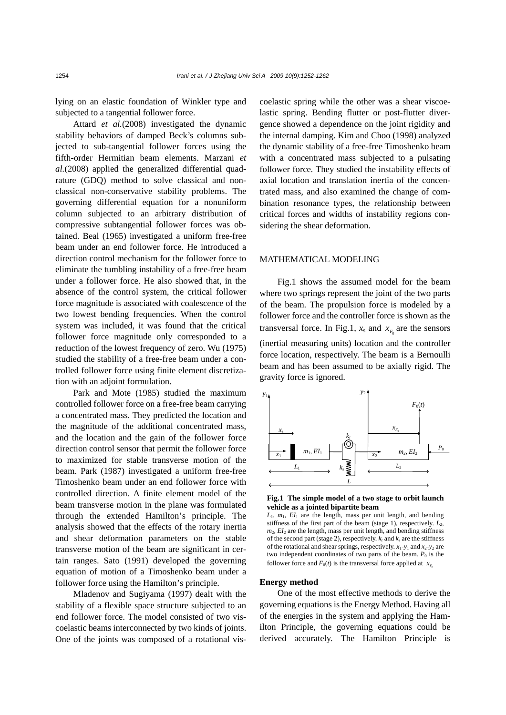lying on an elastic foundation of Winkler type and subjected to a tangential follower force.

Attard *et al.*(2008) investigated the dynamic stability behaviors of damped Beck's columns subjected to sub-tangential follower forces using the fifth-order Hermitian beam elements. Marzani *et al.*(2008) applied the generalized differential quadrature (GDQ) method to solve classical and nonclassical non-conservative stability problems. The governing differential equation for a nonuniform column subjected to an arbitrary distribution of compressive subtangential follower forces was obtained. Beal (1965) investigated a uniform free-free beam under an end follower force. He introduced a direction control mechanism for the follower force to eliminate the tumbling instability of a free-free beam under a follower force. He also showed that, in the absence of the control system, the critical follower force magnitude is associated with coalescence of the two lowest bending frequencies. When the control system was included, it was found that the critical follower force magnitude only corresponded to a reduction of the lowest frequency of zero. Wu (1975) studied the stability of a free-free beam under a controlled follower force using finite element discretization with an adjoint formulation.

Park and Mote (1985) studied the maximum controlled follower force on a free-free beam carrying a concentrated mass. They predicted the location and the magnitude of the additional concentrated mass, and the location and the gain of the follower force direction control sensor that permit the follower force to maximized for stable transverse motion of the beam. Park (1987) investigated a uniform free-free Timoshenko beam under an end follower force with controlled direction. A finite element model of the beam transverse motion in the plane was formulated through the extended Hamilton's principle. The analysis showed that the effects of the rotary inertia and shear deformation parameters on the stable transverse motion of the beam are significant in certain ranges. Sato (1991) developed the governing equation of motion of a Timoshenko beam under a follower force using the Hamilton's principle.

Mladenov and Sugiyama (1997) dealt with the stability of a flexible space structure subjected to an end follower force. The model consisted of two viscoelastic beams interconnected by two kinds of joints. One of the joints was composed of a rotational viscoelastic spring while the other was a shear viscoelastic spring. Bending flutter or post-flutter divergence showed a dependence on the joint rigidity and the internal damping. Kim and Choo (1998) analyzed the dynamic stability of a free-free Timoshenko beam with a concentrated mass subjected to a pulsating follower force. They studied the instability effects of axial location and translation inertia of the concentrated mass, and also examined the change of combination resonance types, the relationship between critical forces and widths of instability regions considering the shear deformation.

#### MATHEMATICAL MODELING

Fig.1 shows the assumed model for the beam where two springs represent the joint of the two parts of the beam. The propulsion force is modeled by a follower force and the controller force is shown as the transversal force. In Fig.1,  $x_s$  and  $x_{F_0}$  are the sensors (inertial measuring units) location and the controller force location, respectively. The beam is a Bernoulli beam and has been assumed to be axially rigid. The gravity force is ignored.



**Fig.1 The simple model of a two stage to orbit launch vehicle as a jointed bipartite beam** 

 $L_1$ ,  $m_1$ ,  $EI_1$  are the length, mass per unit length, and bending stiffness of the first part of the beam (stage 1), respectively.  $L_2$ , *m*2, *EI*2 are the length, mass per unit length, and bending stiffness of the second part (stage 2), respectively.  $k_r$  and  $k_s$  are the stiffness of the rotational and shear springs, respectively.  $x_1 - y_1$  and  $x_2 - y_2$  are two independent coordinates of two parts of the beam.  $P_0$  is the follower force and  $F_0(t)$  is the transversal force applied at  $x_{\overline{k}}$ 

#### **Energy method**

One of the most effective methods to derive the governing equations is the Energy Method. Having all of the energies in the system and applying the Hamilton Principle, the governing equations could be derived accurately. The Hamilton Principle is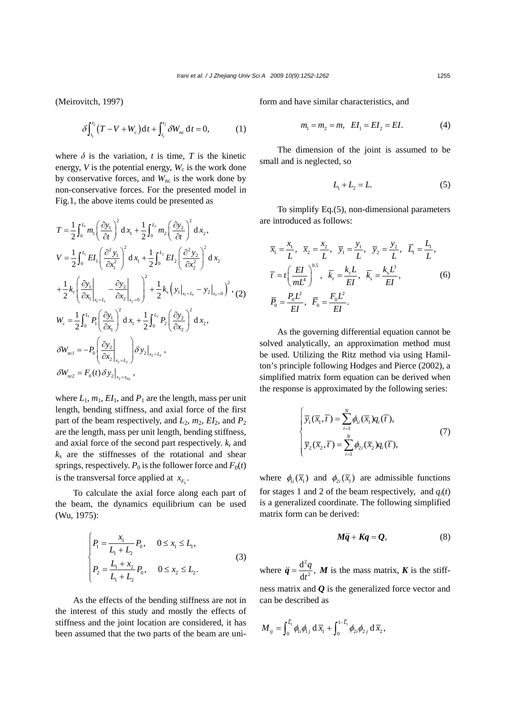(Meirovitch, 1997)

$$
\delta \int_{t_1}^{t_2} (T - V + W_c) dt + \int_{t_1}^{t_2} \delta W_{nc} dt = 0, \qquad (1)
$$

where  $\delta$  is the variation, *t* is time, *T* is the kinetic energy,  $V$  is the potential energy,  $W_c$  is the work done by conservative forces, and  $W_{nc}$  is the work done by non-conservative forces. For the presented model in Fig.1, the above items could be presented as

$$
T = \frac{1}{2} \int_0^{L_1} m_1 \left( \frac{\partial y_1}{\partial t} \right)^2 d x_1 + \frac{1}{2} \int_0^{L_2} m_2 \left( \frac{\partial y_2}{\partial t} \right)^2 d x_2,
$$
  
\n
$$
V = \frac{1}{2} \int_0^{L_1} E I_1 \left( \frac{\partial^2 y_1}{\partial x_1^2} \right)^2 d x_1 + \frac{1}{2} \int_0^{L_2} E I_2 \left( \frac{\partial^2 y_2}{\partial x_2^2} \right)^2 d x_2
$$
  
\n
$$
+ \frac{1}{2} k_1 \left( \frac{\partial y_1}{\partial x_1} \Big|_{x_1 = L_1} - \frac{\partial y_2}{\partial x_2} \Big|_{x_2 = 0} \right)^2 + \frac{1}{2} k_1 \left( y_1 \Big|_{x_1 = L_1} - y_2 \Big|_{x_2 = 0} \right)^2, (2)
$$
  
\n
$$
W_c = \frac{1}{2} \int_0^{L_1} P_1 \left( \frac{\partial y_1}{\partial x_1} \right)^2 d x_1 + \frac{1}{2} \int_0^{L_2} P_2 \left( \frac{\partial y_2}{\partial x_2} \right)^2 d x_2,
$$
  
\n
$$
\delta W_{\text{nc1}} = -P_0 \left( \frac{\partial y_2}{\partial x_2} \Big|_{x_2 = L_2} \right) \delta y_2 \Big|_{x_2 = L_2},
$$
  
\n
$$
\delta W_{\text{nc2}} = F_0(t) \delta y_2 \Big|_{x_2 = x_{F_0}},
$$

where  $L_1$ ,  $m_1$ ,  $EI_1$ , and  $P_1$  are the length, mass per unit length, bending stiffness, and axial force of the first part of the beam respectively, and  $L_2$ ,  $m_2$ ,  $EI_2$ , and  $P_2$ are the length, mass per unit length, bending stiffness, and axial force of the second part respectively.  $k_r$  and  $k<sub>s</sub>$  are the stiffnesses of the rotational and shear springs, respectively.  $P_0$  is the follower force and  $F_0(t)$ is the transversal force applied at  $x_{F_0}$ .

To calculate the axial force along each part of the beam, the dynamics equilibrium can be used (Wu, 1975):

$$
\begin{cases}\nP_1 = \frac{x_1}{L_1 + L_2} P_0, & 0 \le x_1 \le L_1, \\
P_2 = \frac{L_1 + x_2}{L_1 + L_2} P_0, & 0 \le x_2 \le L_2.\n\end{cases} (3)
$$

As the effects of the bending stiffness are not in the interest of this study and mostly the effects of stiffness and the joint location are considered, it has been assumed that the two parts of the beam are uniform and have similar characteristics, and

$$
m_1 = m_2 = m
$$
,  $EI_1 = EI_2 = EI$ . (4)

The dimension of the joint is assumed to be small and is neglected, so

$$
L_1 + L_2 = L.\t\t(5)
$$

To simplify Eq.(5), non-dimensional parameters are introduced as follows:

$$
\overline{x}_1 = \frac{x_1}{L}, \quad \overline{x}_2 = \frac{x_2}{L}, \quad \overline{y}_1 = \frac{y_1}{L}, \quad \overline{y}_2 = \frac{y_2}{L}, \quad \overline{L}_1 = \frac{L_1}{L},
$$
\n
$$
\overline{t} = t \left(\frac{EI}{mL^4}\right)^{0.5}, \quad \overline{k}_r = \frac{k_r L}{EI}, \quad \overline{k}_s = \frac{k_s L^3}{EI},
$$
\n
$$
\overline{P}_0 = \frac{P_0 L^2}{EI}, \quad \overline{F}_0 = \frac{F_0 L^2}{EI}.
$$
\n(6)

As the governing differential equation cannot be solved analytically, an approximation method must be used. Utilizing the Ritz method via using Hamilton's principle following Hodges and Pierce (2002), a simplified matrix form equation can be derived when the response is approximated by the following series:

$$
\begin{cases}\n\overline{y}_1(\overline{x}_1, \overline{t}) = \sum_{i=1}^N \phi_{ii}(\overline{x}_1) q_i(\overline{t}), \\
\overline{y}_2(\overline{x}_2, \overline{t}) = \sum_{i=1}^N \phi_{2i}(\overline{x}_2) q_i(\overline{t}),\n\end{cases}
$$
\n(7)

where  $\phi_{i}(\overline{x}_{i})$  and  $\phi_{i}(\overline{x}_{i})$  are admissible functions for stages 1 and 2 of the beam respectively, and  $q_i(t)$ is a generalized coordinate. The following simplified matrix form can be derived:

$$
M\ddot{q} + Kq = Q, \qquad (8)
$$

where  $\ddot{q} = \frac{d^2}{4}$  $\frac{d^2q}{dt^2},$  $\ddot{q} = \frac{d^{2} q}{dt^{2}}$ , *M* is the mass matrix, *K* is the stiffness matrix and *Q* is the generalized force vector and can be described as

$$
M_{ij} = \int_0^{\overline{L}_i} \phi_{i} \phi_{i} \, d\,\overline{x}_1 + \int_0^{1-\overline{L}_i} \phi_{2i} \phi_{2j} \, d\,\overline{x}_2,
$$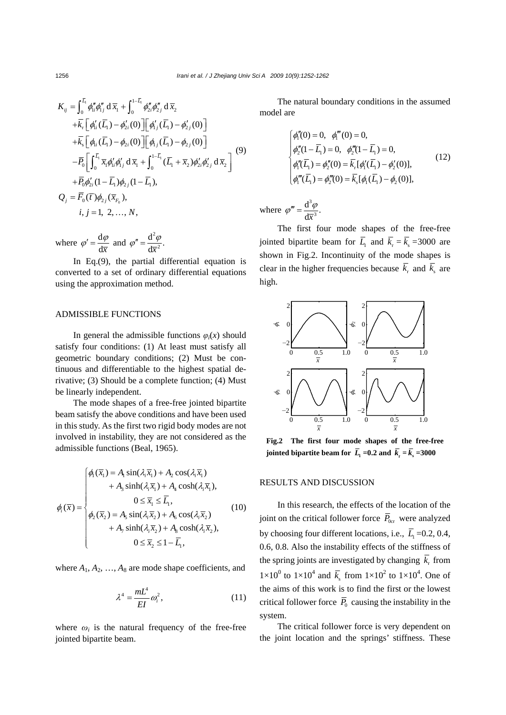$$
K_{ij} = \int_{0}^{\overline{L}_{i}} \phi_{ii}'' \phi_{ij}'' d\,\overline{x}_{1} + \int_{0}^{1-\overline{L}_{i}} \phi_{2i}'' \phi_{2j}'' d\,\overline{x}_{2} + \overline{k}_{r} \Big[ \phi_{ii}'(\overline{L}_{1}) - \phi_{2i}'(0) \Big] \Big[ \phi_{1j}'(\overline{L}_{1}) - \phi_{2j}'(0) \Big] + \overline{k}_{s} \Big[ \phi_{1i}(\overline{L}_{1}) - \phi_{2i}(0) \Big] \Big[ \phi_{1j}(\overline{L}_{1}) - \phi_{2j}(0) \Big] - \overline{P}_{0} \Big[ \int_{0}^{\overline{L}_{i}} \overline{x}_{i} \phi_{ii}' \phi_{1j}' d\,\overline{x}_{1} + \int_{0}^{1-\overline{L}_{i}} (\overline{L}_{1} + \overline{x}_{2}) \phi_{2i}' \phi_{2j}' d\,\overline{x}_{2} \Big] + \overline{P}_{0} \phi_{2i}' (1 - \overline{L}_{1}) \phi_{2j} (1 - \overline{L}_{1}), Q_{j} = \overline{F}_{0}(\overline{t}) \phi_{2j}(\overline{x}_{F_{0}}), i, j = 1, 2, ..., N,
$$

where  $\varphi' = \frac{d}{dx}$ d*x*  $\varphi' = \frac{d\varphi}{dt}$  and  $\varphi'' = \frac{d^2}{dt^2}$  $\varphi'' = \frac{d^2 \varphi}{d\overline{x}^2}.$ 

In Eq.(9), the partial differential equation is converted to a set of ordinary differential equations using the approximation method.

#### ADMISSIBLE FUNCTIONS

In general the admissible functions  $\varphi_i(x)$  should satisfy four conditions: (1) At least must satisfy all geometric boundary conditions; (2) Must be continuous and differentiable to the highest spatial derivative; (3) Should be a complete function; (4) Must be linearly independent.

The mode shapes of a free-free jointed bipartite beam satisfy the above conditions and have been used in this study. As the first two rigid body modes are not involved in instability, they are not considered as the admissible functions (Beal, 1965).

$$
\phi_i(\overline{x}_1) = A_1 \sin(\lambda_i \overline{x}_1) + A_2 \cos(\lambda_i \overline{x}_1)
$$
  
+  $A_3 \sinh(\lambda_i \overline{x}_1) + A_4 \cosh(\lambda_i \overline{x}_1),$   

$$
0 \le \overline{x}_1 \le \overline{L}_1,
$$
  

$$
\phi_2(\overline{x}_2) = A_5 \sin(\lambda_i \overline{x}_2) + A_6 \cos(\lambda_i \overline{x}_2)
$$
  
+  $A_7 \sinh(\lambda_i \overline{x}_2) + A_8 \cosh(\lambda_i \overline{x}_2),$   

$$
0 \le \overline{x}_2 \le 1 - \overline{L}_1,
$$
 (10)

where  $A_1, A_2, \ldots, A_8$  are mode shape coefficients, and

$$
\lambda^4 = \frac{mL^4}{EI} \omega_i^2, \qquad (11)
$$

where  $\omega_i$  is the natural frequency of the free-free jointed bipartite beam.

The natural boundary conditions in the assumed model are

$$
\begin{cases}\n\phi_1^{"}(0) = 0, & \phi_1^{"}(0) = 0, \\
\phi_2^{"}(1 - \overline{L}_1) = 0, & \phi_2^{"}(1 - \overline{L}_1) = 0, \\
\phi_1^{"}(\overline{L}_1) = \phi_2^{"}(0) = \overline{k}_r[\phi_1'(\overline{L}_1) - \phi_2'(\overline{0})], \\
\phi_1^{"}(\overline{L}_1) = \phi_2^{"}(0) = \overline{k}_s[\phi_1(\overline{L}_1) - \phi_2(\overline{0})],\n\end{cases}
$$
\n(12)

where  $\varphi''' = \frac{d^3}{dt^3}$  $\varphi''' = \frac{d^3 \varphi}{d\overline{x}^3}.$ 

The first four mode shapes of the free-free jointed bipartite beam for  $\overline{L}_1$  and  $\overline{k}_r = \overline{k}_s = 3000$  are shown in Fig.2. Incontinuity of the mode shapes is clear in the higher frequencies because  $\overline{k}_r$  and  $\overline{k}_s$  are high.



**Fig.2 The first four mode shapes of the free-free jointed bipartite beam for**  $\overline{L}_1 = 0.2$  **and**  $\overline{k}_r = \overline{k}_s = 3000$ 

## RESULTS AND DISCUSSION

In this research, the effects of the location of the joint on the critical follower force  $\overline{P}_{0cr}$  were analyzed by choosing four different locations, i.e.,  $\overline{L}_1 = 0.2, 0.4$ , 0.6, 0.8. Also the instability effects of the stiffness of the spring joints are investigated by changing  $\bar{k}_r$  from  $1\times10^0$  to  $1\times10^4$  and  $\overline{k}_s$  from  $1\times10^2$  to  $1\times10^4$ . One of the aims of this work is to find the first or the lowest critical follower force  $\overline{P}_0$  causing the instability in the system.

The critical follower force is very dependent on the joint location and the springs' stiffness. These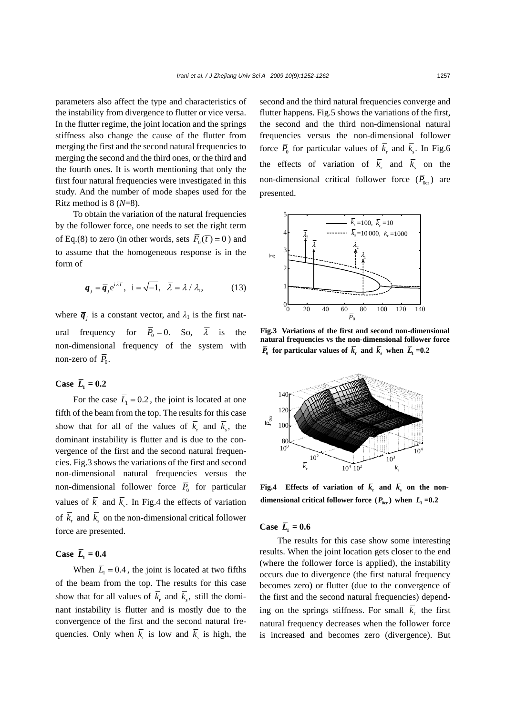parameters also affect the type and characteristics of the instability from divergence to flutter or vice versa. In the flutter regime, the joint location and the springs stiffness also change the cause of the flutter from merging the first and the second natural frequencies to merging the second and the third ones, or the third and the fourth ones. It is worth mentioning that only the first four natural frequencies were investigated in this study. And the number of mode shapes used for the Ritz method is 8 (*N*=8).

To obtain the variation of the natural frequencies by the follower force, one needs to set the right term of Eq.(8) to zero (in other words, sets  $\overline{F}_0(\overline{t}) = 0$ ) and to assume that the homogeneous response is in the form of

$$
\boldsymbol{q}_j = \overline{\boldsymbol{q}}_j e^{i\overline{\lambda}\overline{t}}, \ \ i = \sqrt{-1}, \ \ \overline{\lambda} = \lambda / \lambda_1, \tag{13}
$$

where  $\overline{q}_i$  is a constant vector, and  $\lambda_1$  is the first natural frequency for  $\overline{P}_0 = 0$ . So,  $\overline{\lambda}$  is the non-dimensional frequency of the system with non-zero of  $\overline{P}_{0}$ .

# **Case**  $\bar{L}_1 = 0.2$

For the case  $\overline{L}_1 = 0.2$ , the joint is located at one fifth of the beam from the top. The results for this case show that for all of the values of  $\overline{k}_r$  and  $\overline{k}_s$ , the dominant instability is flutter and is due to the convergence of the first and the second natural frequencies. Fig.3 shows the variations of the first and second non-dimensional natural frequencies versus the non-dimensional follower force  $\overline{P}_0$  for particular values of  $\overline{k}_r$  and  $\overline{k}_s$ . In Fig.4 the effects of variation of  $\overline{k}_r$  and  $\overline{k}_s$  on the non-dimensional critical follower force are presented.

# **Case**  $\bar{L}_1 = 0.4$

When  $\overline{L}_1 = 0.4$ , the joint is located at two fifths of the beam from the top. The results for this case show that for all values of  $\overline{k}_r$  and  $\overline{k}_s$ , still the dominant instability is flutter and is mostly due to the convergence of the first and the second natural frequencies. Only when  $\overline{k}_r$  is low and  $\overline{k}_s$  is high, the second and the third natural frequencies converge and flutter happens. Fig.5 shows the variations of the first, the second and the third non-dimensional natural frequencies versus the non-dimensional follower force  $\overline{P}_0$  for particular values of  $\overline{k}_r$  and  $\overline{k}_s$ . In Fig.6 the effects of variation of  $\overline{k}_r$  and  $\overline{k}_s$  on the non-dimensional critical follower force  $(\overline{P}_{0cr})$  are presented.



**Fig.3 Variations of the first and second non-dimensional natural frequencies vs the non-dimensional follower force**   $\overline{P}_0$  for particular values of  $\overline{k}_r$  and  $\overline{k}_s$  when  $\overline{L}_1$  =0.2



**Fig.4** Effects of variation of  $\overline{k}_r$  and  $\overline{k}_s$  on the non**dimensional critical follower force**  $(\overline{P}_{0cr})$  **when**  $\overline{L}_1 = 0.2$ 

## **Case**  $\bar{L}_1 = 0.6$

The results for this case show some interesting results. When the joint location gets closer to the end (where the follower force is applied), the instability occurs due to divergence (the first natural frequency becomes zero) or flutter (due to the convergence of the first and the second natural frequencies) depending on the springs stiffness. For small  $\overline{k}_r$  the first natural frequency decreases when the follower force is increased and becomes zero (divergence). But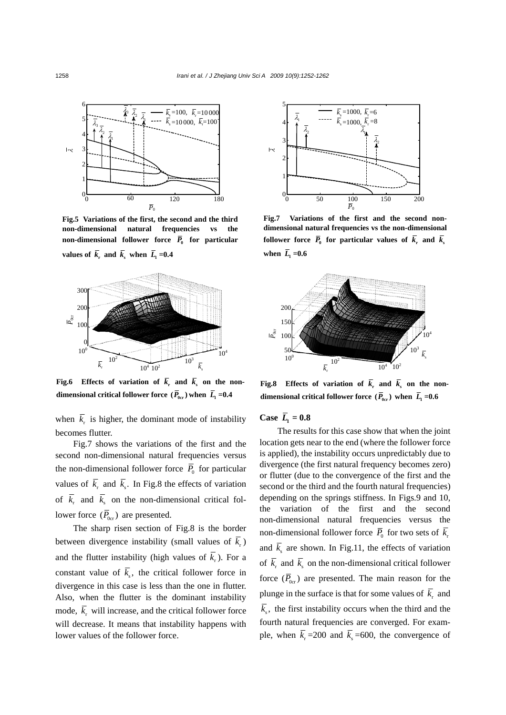

**Fig.5 Variations of the first, the second and the third non-dimensional natural frequencies vs the non-dimensional follower force**  $\overline{P}_0$  **for particular** values of  $\bar{k}_r$  and  $\bar{k}_s$  when  $\bar{L}_1 = 0.4$ 



**Fig.6** Effects of variation of  $\overline{k}_r$  and  $\overline{k}_s$  on the non**dimensional critical follower force**  $(\overline{P}_{0cr})$  **when**  $\overline{L}_1 = 0.4$ 

when  $\overline{k}_r$  is higher, the dominant mode of instability becomes flutter.

Fig.7 shows the variations of the first and the second non-dimensional natural frequencies versus the non-dimensional follower force  $\overline{P}_0$  for particular values of  $\overline{k}_r$  and  $\overline{k}_s$ . In Fig.8 the effects of variation of  $\overline{k}_r$  and  $\overline{k}_s$  on the non-dimensional critical follower force  $(\overline{P}_{0cr})$  are presented.

The sharp risen section of Fig.8 is the border between divergence instability (small values of  $\overline{k}_r$ ) and the flutter instability (high values of  $\overline{k}_r$ ). For a constant value of  $\overline{k}_{s}$ , the critical follower force in divergence in this case is less than the one in flutter. Also, when the flutter is the dominant instability mode,  $\overline{k}_r$  will increase, and the critical follower force will decrease. It means that instability happens with lower values of the follower force.



**Fig.7 Variations of the first and the second nondimensional natural frequencies vs the non-dimensional follower force**  $\overline{P}_0$  **for particular values of**  $\overline{k}_r$  **and**  $\overline{k}_s$ when  $\overline{L}_1 = 0.6$ 



**Fig.8** Effects of variation of  $\overline{k}_r$  and  $\overline{k}_s$  on the non**dimensional critical follower force**  $(\overline{P}_{\text{der}})$  **when**  $\overline{L}_1 = 0.6$ 

## **Case**  $\bar{L}_1 = 0.8$

The results for this case show that when the joint location gets near to the end (where the follower force is applied), the instability occurs unpredictably due to divergence (the first natural frequency becomes zero) or flutter (due to the convergence of the first and the second or the third and the fourth natural frequencies) depending on the springs stiffness. In Figs.9 and 10, the variation of the first and the second non-dimensional natural frequencies versus the non-dimensional follower force  $\overline{P}_0$  for two sets of  $\overline{k}_r$ and  $\overline{k}_s$  are shown. In Fig.11, the effects of variation of  $\overline{k}_r$  and  $\overline{k}_s$  on the non-dimensional critical follower force  $(\overline{P}_{0cr})$  are presented. The main reason for the plunge in the surface is that for some values of  $\overline{k}_r$  and  $\overline{k}_{s}$ , the first instability occurs when the third and the fourth natural frequencies are converged. For example, when  $\overline{k}_r = 200$  and  $\overline{k}_s = 600$ , the convergence of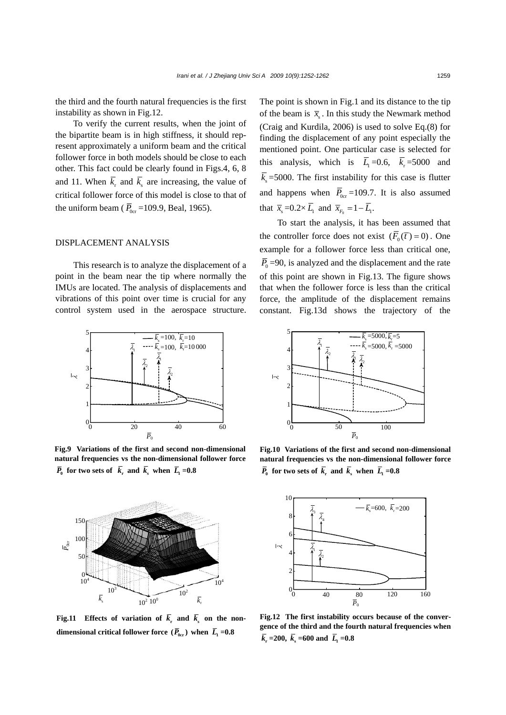the third and the fourth natural frequencies is the first instability as shown in Fig.12.

To verify the current results, when the joint of the bipartite beam is in high stiffness, it should represent approximately a uniform beam and the critical follower force in both models should be close to each other. This fact could be clearly found in Figs.4, 6, 8 and 11. When  $\overline{k}_r$  and  $\overline{k}_s$  are increasing, the value of critical follower force of this model is close to that of the uniform beam ( $\bar{P}_{0cr}$  =109.9, Beal, 1965).

#### DISPLACEMENT ANALYSIS

This research is to analyze the displacement of a point in the beam near the tip where normally the IMUs are located. The analysis of displacements and vibrations of this point over time is crucial for any control system used in the aerospace structure.



**Fig.9 Variations of the first and second non-dimensional natural frequencies vs the non-dimensional follower force**   $\overline{P}_0$  for two sets of  $\overline{k}_r$  and  $\overline{k}_s$  when  $\overline{L}_1 = 0.8$ 



**Fig.11** Effects of variation of  $\overline{k}_r$  and  $\overline{k}_s$  on the non**dimensional critical follower force**  $(\overline{P}_{0cr})$  **when**  $\overline{L}_1 = 0.8$ 

The point is shown in Fig.1 and its distance to the tip of the beam is  $\bar{x}_s$ . In this study the Newmark method (Craig and Kurdila, 2006) is used to solve Eq.(8) for finding the displacement of any point especially the mentioned point. One particular case is selected for this analysis, which is  $\overline{L}_1 = 0.6$ ,  $\overline{k}_r = 5000$  and  $\overline{k}_{s}$  =5000. The first instability for this case is flutter and happens when  $\overline{P}_{0cr}$  =109.7. It is also assumed that  $\overline{x}_{s} = 0.2 \times \overline{L}_{1}$  and  $\overline{x}_{F_{0}} = 1 - \overline{L}_{1}$ .

To start the analysis, it has been assumed that the controller force does not exist  $(\overline{F}_0(\overline{t}) = 0)$ . One example for a follower force less than critical one,  $\overline{P}_0$  =90, is analyzed and the displacement and the rate of this point are shown in Fig.13. The figure shows that when the follower force is less than the critical force, the amplitude of the displacement remains constant. Fig.13d shows the trajectory of the



**Fig.10 Variations of the first and second non-dimensional natural frequencies vs the non-dimensional follower force**   $\overline{P}_0$  for two sets of  $\overline{k}_r$  and  $\overline{k}_s$  when  $\overline{L}_1 = 0.8$ 



**Fig.12 The first instability occurs because of the convergence of the third and the fourth natural frequencies when**   $\bar{k}_{r} = 200$ ,  $\bar{k}_{s} = 600$  and  $\bar{L}_{1} = 0.8$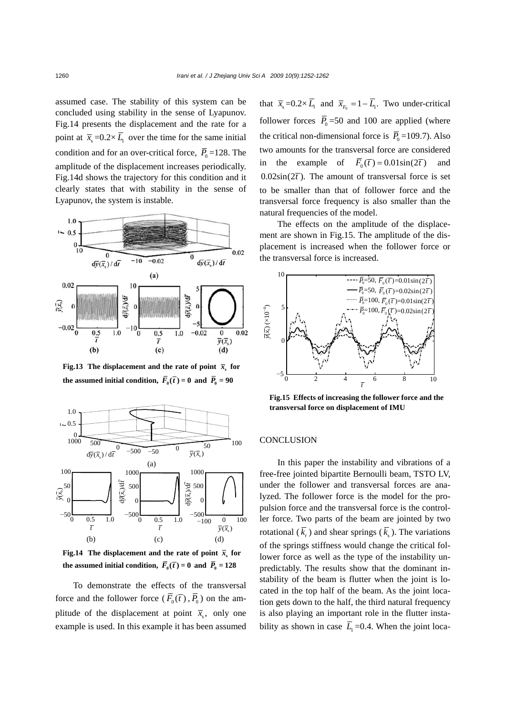assumed case. The stability of this system can be concluded using stability in the sense of Lyapunov. Fig.14 presents the displacement and the rate for a point at  $\bar{x}_{s} = 0.2 \times \bar{L}_{1}$  over the time for the same initial condition and for an over-critical force,  $\overline{P}_0 = 128$ . The amplitude of the displacement increases periodically. Fig.14d shows the trajectory for this condition and it clearly states that with stability in the sense of Lyapunov, the system is instable.



**Fig.13** The displacement and the rate of point  $\bar{x}$  for the assumed initial condition,  $\overline{F}_0(\overline{t})=0$  and  $\overline{P}_0=90$ 





To demonstrate the effects of the transversal force and the follower force  $(\overline{F}_0(\overline{t}), \overline{P}_0)$  on the amplitude of the displacement at point  $\bar{x}_{s}$ , only one example is used. In this example it has been assumed that  $\bar{x}_s = 0.2 \times \bar{L}_1$  and  $\bar{x}_{F_0} = 1 - \bar{L}_1$ . Two under-critical follower forces  $\overline{P}_0$  =50 and 100 are applied (where the critical non-dimensional force is  $\overline{P}_0$  =109.7). Also two amounts for the transversal force are considered in the example of  $\overline{F}_0(\overline{t}) = 0.01 \sin(2 \overline{t})$  and  $0.02\sin(2\overline{t})$ . The amount of transversal force is set to be smaller than that of follower force and the transversal force frequency is also smaller than the natural frequencies of the model.

The effects on the amplitude of the displacement are shown in Fig.15. The amplitude of the displacement is increased when the follower force or the transversal force is increased.



**Fig.15 Effects of increasing the follower force and the transversal force on displacement of IMU** 

### **CONCLUSION**

In this paper the instability and vibrations of a free-free jointed bipartite Bernoulli beam, TSTO LV, under the follower and transversal forces are analyzed. The follower force is the model for the propulsion force and the transversal force is the controller force. Two parts of the beam are jointed by two rotational  $(\overline{k}_r)$  and shear springs  $(\overline{k}_s)$ . The variations of the springs stiffness would change the critical follower force as well as the type of the instability unpredictably. The results show that the dominant instability of the beam is flutter when the joint is located in the top half of the beam. As the joint location gets down to the half, the third natural frequency is also playing an important role in the flutter instability as shown in case  $\overline{L}_1$  =0.4. When the joint loca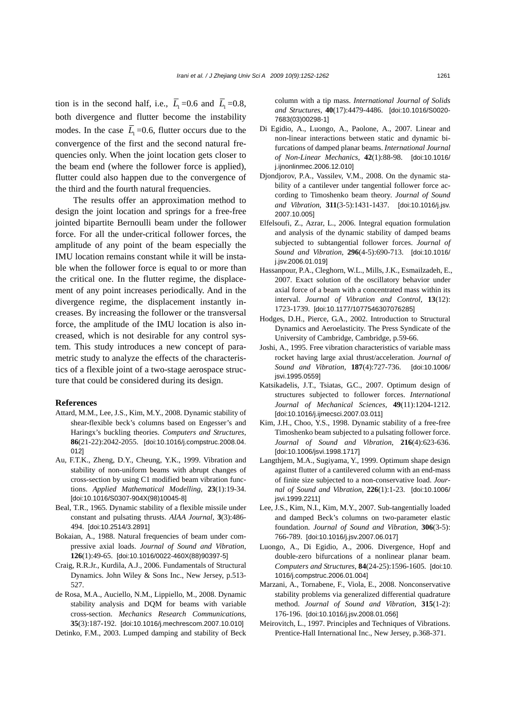tion is in the second half, i.e.,  $\overline{L}_1 = 0.6$  and  $\overline{L}_1 = 0.8$ , both divergence and flutter become the instability modes. In the case  $\overline{L}_1$  =0.6, flutter occurs due to the convergence of the first and the second natural frequencies only. When the joint location gets closer to the beam end (where the follower force is applied), flutter could also happen due to the convergence of the third and the fourth natural frequencies.

The results offer an approximation method to design the joint location and springs for a free-free jointed bipartite Bernoulli beam under the follower force. For all the under-critical follower forces, the amplitude of any point of the beam especially the IMU location remains constant while it will be instable when the follower force is equal to or more than the critical one. In the flutter regime, the displacement of any point increases periodically. And in the divergence regime, the displacement instantly increases. By increasing the follower or the transversal force, the amplitude of the IMU location is also increased, which is not desirable for any control system. This study introduces a new concept of parametric study to analyze the effects of the characteristics of a flexible joint of a two-stage aerospace structure that could be considered during its design.

### **References**

- Attard, M.M., Lee, J.S., Kim, M.Y., 2008. Dynamic stability of shear-flexible beck's columns based on Engesser's and Haringx's buckling theories. *Computers and Structures*, **86**(21-22):2042-2055. [doi:10.1016/j.compstruc.2008.04. 012]
- Au, F.T.K., Zheng, D.Y., Cheung, Y.K., 1999. Vibration and stability of non-uniform beams with abrupt changes of cross-section by using C1 modified beam vibration functions. *Applied Mathematical Modelling*, **23**(1):19-34. [doi:10.1016/S0307-904X(98)10045-8]
- Beal, T.R., 1965. Dynamic stability of a flexible missile under constant and pulsating thrusts. *AIAA Journal*, **3**(3):486- 494. [doi:10.2514/3.2891]
- Bokaian, A., 1988. Natural frequencies of beam under compressive axial loads. *Journal of Sound and Vibration*, **126**(1):49-65. [doi:10.1016/0022-460X(88)90397-5]
- Craig, R.R.Jr., Kurdila, A.J., 2006. Fundamentals of Structural Dynamics. John Wiley & Sons Inc., New Jersey, p.513- 527.
- de Rosa, M.A., Auciello, N.M., Lippiello, M., 2008. Dynamic stability analysis and DQM for beams with variable cross-section. *Mechanics Research Communications*, **35**(3):187-192. [doi:10.1016/j.mechrescom.2007.10.010]
- Detinko, F.M., 2003. Lumped damping and stability of Beck

column with a tip mass. *International Journal of Solids and Structures*, **40**(17):4479-4486. [doi:10.1016/S0020- 7683(03)00298-1]

- Di Egidio, A., Luongo, A., Paolone, A., 2007. Linear and non-linear interactions between static and dynamic bifurcations of damped planar beams. *International Journal of Non-Linear Mechanics*, **42**(1):88-98. [doi:10.1016/ j.ijnonlinmec.2006.12.010]
- Djondjorov, P.A., Vassilev, V.M., 2008. On the dynamic stability of a cantilever under tangential follower force according to Timoshenko beam theory. *Journal of Sound and Vibration*, **311**(3-5):1431-1437. [doi:10.1016/j.jsv. 2007.10.005]
- Elfelsoufi, Z., Azrar, L., 2006. Integral equation formulation and analysis of the dynamic stability of damped beams subjected to subtangential follower forces. *Journal of Sound and Vibration*, **296**(4-5):690-713. [doi:10.1016/ j.jsv.2006.01.019]
- Hassanpour, P.A., Cleghorn, W.L., Mills, J.K., Esmailzadeh, E., 2007. Exact solution of the oscillatory behavior under axial force of a beam with a concentrated mass within its interval. *Journal of Vibration and Control*, **13**(12): 1723-1739. [doi:10.1177/1077546307076285]
- Hodges, D.H., Pierce, G.A., 2002. Introduction to Structural Dynamics and Aeroelasticity. The Press Syndicate of the University of Cambridge, Cambridge, p.59-66.
- Joshi, A., 1995. Free vibration characteristics of variable mass rocket having large axial thrust/acceleration. *Journal of Sound and Vibration*, **187**(4):727-736. [doi:10.1006/ jsvi.1995.0559]
- Katsikadelis, J.T., Tsiatas, G.C., 2007. Optimum design of structures subjected to follower forces. *International Journal of Mechanical Sciences*, **49**(11):1204-1212. [doi:10.1016/j.ijmecsci.2007.03.011]
- Kim, J.H., Choo, Y.S., 1998. Dynamic stability of a free-free Timoshenko beam subjected to a pulsating follower force. *Journal of Sound and Vibration*, **216**(4):623-636. [doi:10.1006/jsvi.1998.1717]
- Langthjem, M.A., Sugiyama, Y., 1999. Optimum shape design against flutter of a cantilevered column with an end-mass of finite size subjected to a non-conservative load. *Journal of Sound and Vibration*, **226**(1):1-23. [doi:10.1006/ jsvi.1999.2211]
- Lee, J.S., Kim, N.I., Kim, M.Y., 2007. Sub-tangentially loaded and damped Beck's columns on two-parameter elastic foundation. *Journal of Sound and Vibration*, **306**(3-5): 766-789. [doi:10.1016/j.jsv.2007.06.017]
- Luongo, A., Di Egidio, A., 2006. Divergence, Hopf and double-zero bifurcations of a nonlinear planar beam. *Computers and Structures*, **84**(24-25):1596-1605. [doi:10. 1016/j.compstruc.2006.01.004]
- Marzani, A., Tornabene, F., Viola, E., 2008. Nonconservative stability problems via generalized differential quadrature method. *Journal of Sound and Vibration*, **315**(1-2): 176-196. [doi:10.1016/j.jsv.2008.01.056]
- Meirovitch, L., 1997. Principles and Techniques of Vibrations. Prentice-Hall International Inc., New Jersey, p.368-371.